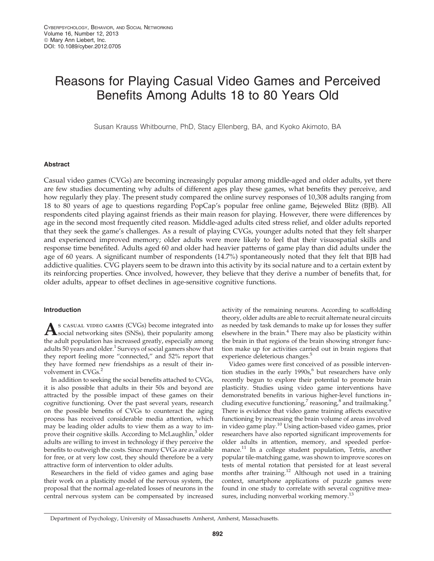# Reasons for Playing Casual Video Games and Perceived Benefits Among Adults 18 to 80 Years Old

Susan Krauss Whitbourne, PhD, Stacy Ellenberg, BA, and Kyoko Akimoto, BA

# Abstract

Casual video games (CVGs) are becoming increasingly popular among middle-aged and older adults, yet there are few studies documenting why adults of different ages play these games, what benefits they perceive, and how regularly they play. The present study compared the online survey responses of 10,308 adults ranging from 18 to 80 years of age to questions regarding PopCap's popular free online game, Bejeweled Blitz (BJB). All respondents cited playing against friends as their main reason for playing. However, there were differences by age in the second most frequently cited reason. Middle-aged adults cited stress relief, and older adults reported that they seek the game's challenges. As a result of playing CVGs, younger adults noted that they felt sharper and experienced improved memory; older adults were more likely to feel that their visuospatial skills and response time benefited. Adults aged 60 and older had heavier patterns of game play than did adults under the age of 60 years. A significant number of respondents (14.7%) spontaneously noted that they felt that BJB had addictive qualities. CVG players seem to be drawn into this activity by its social nature and to a certain extent by its reinforcing properties. Once involved, however, they believe that they derive a number of benefits that, for older adults, appear to offset declines in age-sensitive cognitive functions.

# Introduction

As casual video Games (CVGs) become integrated into<br>social networking sites (SNSs), their popularity among the adult population has increased greatly, especially among adults 50 years and older.<sup>1</sup> Surveys of social gamers show that they report feeling more ''connected,'' and 52% report that they have formed new friendships as a result of their involvement in CVGs.<sup>2</sup>

In addition to seeking the social benefits attached to CVGs, it is also possible that adults in their 50s and beyond are attracted by the possible impact of these games on their cognitive functioning. Over the past several years, research on the possible benefits of CVGs to counteract the aging process has received considerable media attention, which may be leading older adults to view them as a way to improve their cognitive skills. According to McLaughlin,<sup>3</sup> older adults are willing to invest in technology if they perceive the benefits to outweigh the costs. Since many CVGs are available for free, or at very low cost, they should therefore be a very attractive form of intervention to older adults.

Researchers in the field of video games and aging base their work on a plasticity model of the nervous system, the proposal that the normal age-related losses of neurons in the central nervous system can be compensated by increased activity of the remaining neurons. According to scaffolding theory, older adults are able to recruit alternate neural circuits as needed by task demands to make up for losses they suffer elsewhere in the brain. $4$  There may also be plasticity within the brain in that regions of the brain showing stronger function make up for activities carried out in brain regions that experience deleterious changes.<sup>5</sup>

Video games were first conceived of as possible intervention studies in the early  $1990s$ , but researchers have only recently begun to explore their potential to promote brain plasticity. Studies using video game interventions have demonstrated benefits in various higher-level functions including executive functioning, $^7$  reasoning, $^8$  and trailmaking. There is evidence that video game training affects executive functioning by increasing the brain volume of areas involved in video game play.<sup>10</sup> Using action-based video games, prior researchers have also reported significant improvements for older adults in attention, memory, and speeded performance.<sup>11</sup> In a college student population, Tetris, another popular tile-matching game, was shown to improve scores on tests of mental rotation that persisted for at least several months after training.<sup>12</sup> Although not used in a training context, smartphone applications of puzzle games were found in one study to correlate with several cognitive measures, including nonverbal working memory.<sup>13</sup>

Department of Psychology, University of Massachusetts Amherst, Amherst, Massachusetts.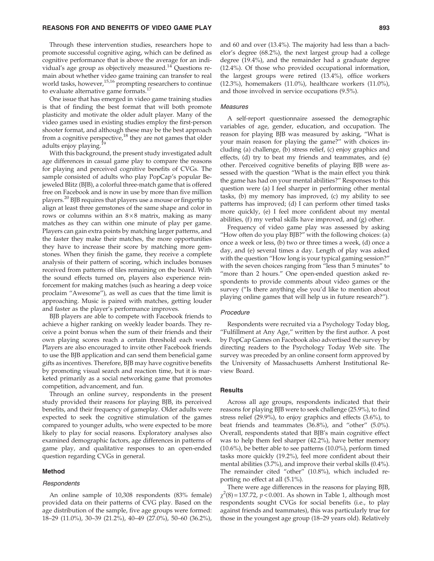Through these intervention studies, researchers hope to promote successful cognitive aging, which can be defined as cognitive performance that is above the average for an individual's age group as objectively measured.<sup>14</sup> Questions remain about whether video game training can transfer to real world tasks, however,  $15,16$  prompting researchers to continue to evaluate alternative game formats.<sup>17</sup>

One issue that has emerged in video game training studies is that of finding the best format that will both promote plasticity and motivate the older adult player. Many of the video games used in existing studies employ the first-person shooter format, and although these may be the best approach from a cognitive perspective,<sup>18</sup> they are not games that older adults enjoy playing.

With this background, the present study investigated adult age differences in casual game play to compare the reasons for playing and perceived cognitive benefits of CVGs. The sample consisted of adults who play PopCap's popular Bejeweled Blitz (BJB), a colorful three-match game that is offered free on Facebook and is now in use by more than five million players.<sup>20</sup> BJB requires that players use a mouse or fingertip to align at least three gemstones of the same shape and color in rows or columns within an  $8 \times 8$  matrix, making as many matches as they can within one minute of play per game. Players can gain extra points by matching larger patterns, and the faster they make their matches, the more opportunities they have to increase their score by matching more gemstones. When they finish the game, they receive a complete analysis of their pattern of scoring, which includes bonuses received from patterns of tiles remaining on the board. With the sound effects turned on, players also experience reinforcement for making matches (such as hearing a deep voice proclaim ''Awesome''), as well as cues that the time limit is approaching. Music is paired with matches, getting louder and faster as the player's performance improves.

BJB players are able to compete with Facebook friends to achieve a higher ranking on weekly leader boards. They receive a point bonus when the sum of their friends and their own playing scores reach a certain threshold each week. Players are also encouraged to invite other Facebook friends to use the BJB application and can send them beneficial game gifts as incentives. Therefore, BJB may have cognitive benefits by promoting visual search and reaction time, but it is marketed primarily as a social networking game that promotes competition, advancement, and fun.

Through an online survey, respondents in the present study provided their reasons for playing BJB, its perceived benefits, and their frequency of gameplay. Older adults were expected to seek the cognitive stimulation of the games compared to younger adults, who were expected to be more likely to play for social reasons. Exploratory analyses also examined demographic factors, age differences in patterns of game play, and qualitative responses to an open-ended question regarding CVGs in general.

# Method

#### Respondents

An online sample of 10,308 respondents (83% female) provided data on their patterns of CVG play. Based on the age distribution of the sample, five age groups were formed: 18–29 (11.0%), 30–39 (21.2%), 40–49 (27.0%), 50–60 (36.2%),

and 60 and over (13.4%). The majority had less than a bachelor's degree (68.2%), the next largest group had a college degree (19.4%), and the remainder had a graduate degree (12.4%). Of those who provided occupational information, the largest groups were retired (13.4%), office workers (12.3%), homemakers (11.0%), healthcare workers (11.0%), and those involved in service occupations (9.5%).

## **Measures**

A self-report questionnaire assessed the demographic variables of age, gender, education, and occupation. The reason for playing BJB was measured by asking, ''What is your main reason for playing the game?'' with choices including (a) challenge, (b) stress relief, (c) enjoy graphics and effects, (d) try to beat my friends and teammates, and (e) other. Perceived cognitive benefits of playing BJB were assessed with the question ''What is the main effect you think the game has had on your mental abilities?'' Responses to this question were (a) I feel sharper in performing other mental tasks, (b) my memory has improved, (c) my ability to see patterns has improved; (d) I can perform other timed tasks more quickly, (e) I feel more confident about my mental abilities,  $(f)$  my verbal skills have improved, and  $(g)$  other.

Frequency of video game play was assessed by asking ''How often do you play BJB?'' with the following choices: (a) once a week or less, (b) two or three times a week, (d) once a day, and (e) several times a day. Length of play was asked with the question ''How long is your typical gaming session?'' with the seven choices ranging from "less than 5 minutes" to "more than 2 hours." One open-ended question asked respondents to provide comments about video games or the survey (''Is there anything else you'd like to mention about playing online games that will help us in future research?'').

# Procedure

Respondents were recruited via a Psychology Today blog, ''Fulfillment at Any Age,'' written by the first author. A post by PopCap Games on Facebook also advertised the survey by directing readers to the Psychology Today Web site. The survey was preceded by an online consent form approved by the University of Massachusetts Amherst Institutional Review Board.

## **Results**

Across all age groups, respondents indicated that their reasons for playing BJB were to seek challenge (25.9%), to find stress relief (29.9%), to enjoy graphics and effects (3.6%), to beat friends and teammates (36.8%), and ''other'' (5.0%). Overall, respondents stated that BJB's main cognitive effect was to help them feel sharper (42.2%), have better memory (10.6%), be better able to see patterns (10.0%), perform timed tasks more quickly (19.2%), feel more confident about their mental abilities (3.7%), and improve their verbal skills (0.4%). The remainder cited "other" (10.8%), which included reporting no effect at all (5.1%).

There were age differences in the reasons for playing BJB,  $\chi^2(8)$  = 137.72,  $p < 0.001$ . As shown in Table 1, although most respondents sought CVGs for social benefits (i.e., to play against friends and teammates), this was particularly true for those in the youngest age group (18–29 years old). Relatively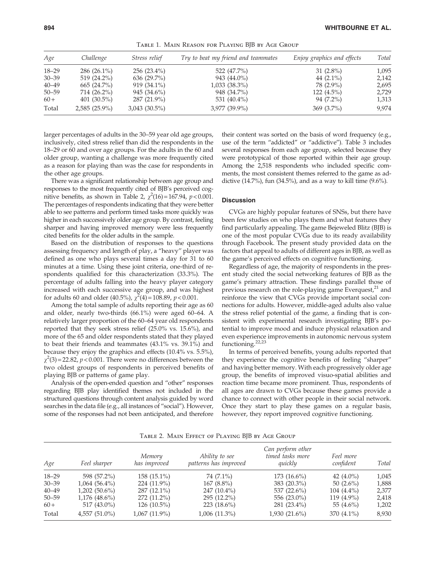| Age       | Challenge       | Stress relief      | Try to beat my friend and teammates | Enjoy graphics and effects | Total |  |
|-----------|-----------------|--------------------|-------------------------------------|----------------------------|-------|--|
| $18 - 29$ | $286(26.1\%)$   | $256(23.4\%)$      | 522 (47.7%)                         | 31 $(2.8\%)$               | 1,095 |  |
| $30 - 39$ | 519 (24.2%)     | $636(29.7\%)$      | 943 (44.0%)                         | 44 $(2.1\%)$               | 2,142 |  |
| $40 - 49$ | 665 (24.7%)     | 919 (34.1%)        | $1,033(38.3\%)$                     | 78 (2.9%)                  | 2,695 |  |
| $50 - 59$ | 714 (26.2%)     | 945 (34.6%)        | 948 (34.7%)                         | $122(4.5\%)$               | 2,729 |  |
| $60+$     | $401(30.5\%)$   | 287 (21.9%)        | 531 (40.4%)                         | 94 (7.2%)                  | 1,313 |  |
| Total     | $2,585(25.9\%)$ | $3,043$ $(30.5\%)$ | 3,977 (39.9%)                       | $369(3.7\%)$               | 9,974 |  |

Table 1. Main Reason for Playing BJB by Age Group

larger percentages of adults in the 30–59 year old age groups, inclusively, cited stress relief than did the respondents in the 18–29 or 60 and over age groups. For the adults in the 60 and older group, wanting a challenge was more frequently cited as a reason for playing than was the case for respondents in the other age groups.

There was a significant relationship between age group and responses to the most frequently cited of BJB's perceived cognitive benefits, as shown in Table 2,  $\chi^2(16) = 167.94$ ,  $p < 0.001$ . The percentages of respondents indicating that they were better able to see patterns and perform timed tasks more quickly was higher in each successively older age group. By contrast, feeling sharper and having improved memory were less frequently cited benefits for the older adults in the sample.

Based on the distribution of responses to the questions assessing frequency and length of play, a ''heavy'' player was defined as one who plays several times a day for 31 to 60 minutes at a time. Using these joint criteria, one-third of respondents qualified for this characterization (33.3%). The percentage of adults falling into the heavy player category increased with each successive age group, and was highest for adults 60 and older (40.5%),  $\chi^2(4)$  = 108.89, p < 0.001.

Among the total sample of adults reporting their age as 60 and older, nearly two-thirds (66.1%) were aged 60–64. A relatively larger proportion of the 60–64 year old respondents reported that they seek stress relief (25.0% vs. 15.6%), and more of the 65 and older respondents stated that they played to beat their friends and teammates (43.1% vs. 39.1%) and because they enjoy the graphics and effects (10.4% vs. 5.5%),  $\chi^2(3)$  = 22.82,  $p < 0.001$ . There were no differences between the two oldest groups of respondents in perceived benefits of playing BJB or patterns of game play.

Analysis of the open-ended question and ''other'' responses regarding BJB play identified themes not included in the structured questions through content analysis guided by word searches in the data file (e.g., all instances of ''social''). However, some of the responses had not been anticipated, and therefore their content was sorted on the basis of word frequency (e.g., use of the term ''addicted'' or ''addictive''). Table 3 includes several responses from each age group, selected because they were prototypical of those reported within their age group. Among the 2,518 respondents who included specific comments, the most consistent themes referred to the game as addictive  $(14.7\%)$ , fun  $(34.5\%)$ , and as a way to kill time  $(9.6\%)$ .

# **Discussion**

CVGs are highly popular features of SNSs, but there have been few studies on who plays them and what features they find particularly appealing. The game Bejeweled Blitz (BJB) is one of the most popular CVGs due to its ready availability through Facebook. The present study provided data on the factors that appeal to adults of different ages in BJB, as well as the game's perceived effects on cognitive functioning.

Regardless of age, the majority of respondents in the present study cited the social networking features of BJB as the game's primary attraction. These findings parallel those of previous research on the role-playing game Everquest, $21$  and reinforce the view that CVGs provide important social connections for adults. However, middle-aged adults also value the stress relief potential of the game, a finding that is consistent with experimental research investigating BJB's potential to improve mood and induce physical relaxation and even experience improvements in autonomic nervous system functioning.<sup>22,23</sup>

In terms of perceived benefits, young adults reported that they experience the cognitive benefits of feeling ''sharper'' and having better memory. With each progressively older age group, the benefits of improved visuo-spatial abilities and reaction time became more prominent. Thus, respondents of all ages are drawn to CVGs because these games provide a chance to connect with other people in their social network. Once they start to play these games on a regular basis, however, they report improved cognitive functioning.

Table 2. Main Effect of Playing BJB by Age Group

| Age       | Feel sharper    | Memory<br>has improved | Ability to see<br>patterns has improved | Can perform other<br>timed tasks more<br>quickly | Feel more<br>confident | Total |
|-----------|-----------------|------------------------|-----------------------------------------|--------------------------------------------------|------------------------|-------|
| $18 - 29$ | 598 (57.2%)     | 158 (15.1%)            | 74 (7.1%)                               | $173(16.6\%)$                                    | 42 $(4.0\%)$           | 1,045 |
| $30 - 39$ | $1,064(56.4\%)$ | 224 (11.9%)            | $167(8.8\%)$                            | $383(20.3\%)$                                    | 50 $(2.6\%)$           | 1,888 |
| $40 - 49$ | $1,202(50.6\%)$ | $287(12.1\%)$          | $247(10.4\%)$                           | 537 $(22.6\%)$                                   | $104(4.4\%)$           | 2,377 |
| $50 - 59$ | $1,176$ (48.6%) | $272(11.2\%)$          | $295(12.2\%)$                           | 556 (23.0%)                                      | $119(4.9\%)$           | 2,418 |
| $60+$     | 517 (43.0%)     | 126 (10.5%)            | 223 $(18.6\%)$                          | $281(23.4\%)$                                    | 55 $(4.6\%)$           | 1,202 |
| Total     | $4,557(51.0\%)$ | $1,067(11.9\%)$        | $1,006$ $(11.3\%)$                      | $1,930(21.6\%)$                                  | 370 $(4.1\%)$          | 8,930 |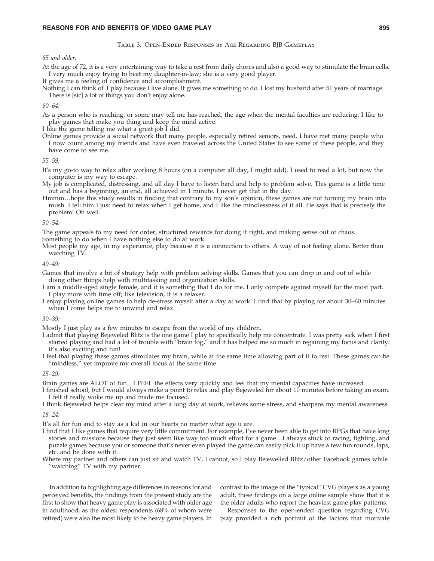## 65 and older:

At the age of 72, it is a very entertaining way to take a rest from daily chores and also a good way to stimulate the brain cells. I very much enjoy trying to beat my daughter-in-law; she is a very good player.

It gives me a feeling of confidence and accomplishment.

Nothing I can think of. I play because I live alone. It gives me something to do. I lost my husband after 51 years of marriage. There is [sic] a lot of things you don't enjoy alone.

#### 60–64:

As a person who is reaching, or some may tell me has reached, the age when the mental faculties are reducing, I like to play games that make you thing and keep the mind active.

I like the game telling me what a great job I did.

Online games provide a social network that many people, especially retired seniors, need. I have met many people who I now count among my friends and have even traveled across the United States to see some of these people, and they have come to see me.

## 55–59:

It's my go-to way to relax after working 8 hours (on a computer all day, I might add). I used to read a lot, but now the computer is my way to escape.

My job is complicated, distressing, and all day I have to listen hard and help to problem solve. This game is a little time out and has a beginning, an end, all achieved in 1 minute. I never get that in the day.

Hmmm...hope this study results in finding that contrary to my son's opinion, these games are not turning my brain into mush. I tell him I just need to relax when I get home, and I like the mindlessness of it all. He says that is precisely the problem! Oh well.

#### 50–54:

The game appeals to my need for order, structured rewards for doing it right, and making sense out of chaos.

- Something to do when I have nothing else to do at work.
- Most people my age, in my experience, play because it is a connection to others. A way of not feeling alone. Better than watching TV.

## 40–49:

Games that involve a bit of strategy help with problem solving skills. Games that you can drop in and out of while doing other things help with multitasking and organization skills.

I am a middle-aged single female, and it is something that I do for me. I only compete against myself for the most part. I play more with time off; like television, it is a relaxer.

I enjoy playing online games to help de-stress myself after a day at work. I find that by playing for about 30–60 minutes when I come helps me to unwind and relax.

## 30–39:

Mostly I just play as a few minutes to escape from the world of my children.

I admit that playing Bejeweled Blitz is the one game I play to specifically help me concentrate. I was pretty sick when I first started playing and had a lot of trouble with ''brain fog,'' and it has helped me so much in regaining my focus and clarity. It's also exciting and fun!

I feel that playing these games stimulates my brain, while at the same time allowing part of it to rest. These games can be "mindless," yet improve my overall focus at the same time.

## 25–29:

Brain games are ALOT of fun...I FEEL the effects very quickly and feel that my mental capacities have increased.

I finished school, but I would always make a point to relax and play Bejeweled for about 10 minutes before taking an exam. I felt it really woke me up and made me focused.

I think Bejeweled helps clear my mind after a long day at work, relieves some stress, and sharpens my mental awareness.

# 18–24:

It's all for fun and to stay as a kid in our hearts no matter what age u are.

I find that I like games that require very little commitment. For example, I've never been able to get into RPGs that have long stories and missions because they just seem like way too much effort for a game...I always stuck to racing, fighting, and puzzle games because you or someone that's never even played the game can easily pick it up have a few fun rounds, laps, etc. and be done with it.

Where my partner and others can just sit and watch TV, I cannot, so I play Bejewelled Blitz/other Facebook games while "watching" TV with my partner.

In addition to highlighting age differences in reasons for and perceived benefits, the findings from the present study are the first to show that heavy game play is associated with older age in adulthood, as the oldest respondents (68% of whom were retired) were also the most likely to be heavy game players. In contrast to the image of the ''typical'' CVG players as a young adult, these findings on a large online sample show that it is the older adults who report the heaviest game play patterns.

Responses to the open-ended question regarding CVG play provided a rich portrait of the factors that motivate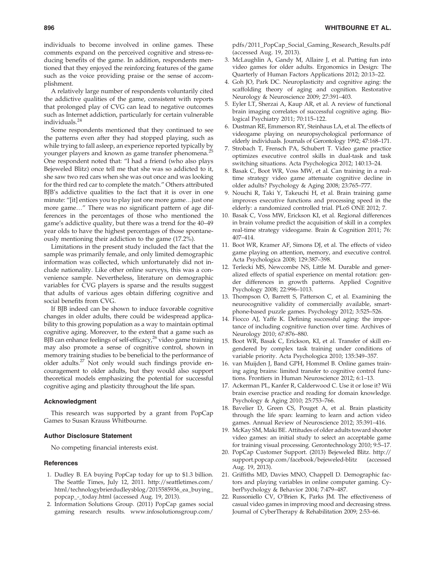individuals to become involved in online games. These comments expand on the perceived cognitive and stress-reducing benefits of the game. In addition, respondents mentioned that they enjoyed the reinforcing features of the game such as the voice providing praise or the sense of accomplishment.

A relatively large number of respondents voluntarily cited the addictive qualities of the game, consistent with reports that prolonged play of CVG can lead to negative outcomes such as Internet addiction, particularly for certain vulnerable individuals.<sup>24</sup>

Some respondents mentioned that they continued to see the patterns even after they had stopped playing, such as while trying to fall asleep, an experience reported typically by younger players and known as game transfer phenomena.<sup>25</sup> One respondent noted that: ''I had a friend (who also plays Bejeweled Blitz) once tell me that she was so addicted to it, she saw two red cars when she was out once and was looking for the third red car to complete the match.'' Others attributed BJB's addictive qualities to the fact that it is over in one minute: "[it] entices you to play just one more game... just one more game..." There was no significant pattern of age differences in the percentages of those who mentioned the game's addictive quality, but there was a trend for the 40–49 year olds to have the highest percentages of those spontaneously mentioning their addiction to the game (17.2%).

Limitations in the present study included the fact that the sample was primarily female, and only limited demographic information was collected, which unfortunately did not include nationality. Like other online surveys, this was a convenience sample. Nevertheless, literature on demographic variables for CVG players is sparse and the results suggest that adults of various ages obtain differing cognitive and social benefits from CVG.

If BJB indeed can be shown to induce favorable cognitive changes in older adults, there could be widespread applicability to this growing population as a way to maintain optimal cognitive aging. Moreover, to the extent that a game such as  $B\overline{B}$  can enhance feelings of self-efficacy,<sup>26</sup> video game training may also promote a sense of cognitive control, shown in memory training studies to be beneficial to the performance of older adults.27 Not only would such findings provide encouragement to older adults, but they would also support theoretical models emphasizing the potential for successful cognitive aging and plasticity throughout the life span.

## Acknowledgment

This research was supported by a grant from PopCap Games to Susan Krauss Whitbourne.

# Author Disclosure Statement

No competing financial interests exist.

## **References**

- 1. Dudley B. EA buying PopCap today for up to \$1.3 billion. The Seattle Times, July 12, 2011. http://seattletimes.com/ html/technologybrierdudleysblog/2015585936\_ea\_buying\_ popcap\_-\_today.html (accessed Aug. 19, 2013).
- 2. Information Solutions Group. (2011) PopCap games social gaming research results. www.infosolutionsgroup.com/

pdfs/2011\_PopCap\_Social\_Gaming\_Research\_Results.pdf (accessed Aug. 19, 2013).

- 3. McLaughlin A, Gandy M, Allaire J, et al. Putting fun into video games for older adults. Ergonomics in Design: The Quarterly of Human Factors Applications 2012; 20:13–22.
- 4. Goh JO, Park DC. Neuroplasticity and cognitive aging: the scaffolding theory of aging and cognition. Restorative Neurology & Neuroscience 2009; 27:391–403.
- 5. Eyler LT, Sherzai A, Kaup AR, et al. A review of functional brain imaging correlates of successful cognitive aging. Biological Psychiatry 2011; 70:115–122.
- 6. Dustman RE, Emmerson RY, Steinhaus LA, et al. The effects of videogame playing on neuropsychological performance of elderly individuals. Journals of Gerontology 1992; 47:168–171.
- 7. Strobach T, Frensch PA, Schubert T. Video game practice optimizes executive control skills in dual-task and task switching situations. Acta Psychologica 2012; 140:13–24.
- 8. Basak C, Boot WR, Voss MW, et al. Can training in a realtime strategy video game attenuate cognitive decline in older adults? Psychology & Aging 2008; 23:765–777.
- 9. Nouchi R, Taki Y, Takeuchi H, et al. Brain training game improves executive functions and processing speed in the elderly: a randomized controlled trial. PLoS ONE 2012; 7.
- 10. Basak C, Voss MW, Erickson KI, et al. Regional differences in brain volume predict the acquisition of skill in a complex real-time strategy videogame. Brain & Cognition 2011; 76: 407–414.
- 11. Boot WR, Kramer AF, Simons DJ, et al. The effects of video game playing on attention, memory, and executive control. Acta Psychologica 2008; 129:387–398.
- 12. Terlecki MS, Newcombe NS, Little M. Durable and generalized effects of spatial experience on mental rotation: gender differences in growth patterns. Applied Cognitive Psychology 2008; 22:996–1013.
- 13. Thompson O, Barrett S, Patterson C, et al. Examining the neurocognitive validity of commercially available, smartphone-based puzzle games. Psychology 2012; 3:525–526.
- 14. Fiocco AJ, Yaffe K. Defining successful aging: the importance of including cognitive function over time. Archives of Neurology 2010; 67:876–880.
- 15. Boot WR, Basak C, Erickson, KI, et al. Transfer of skill engendered by complex task training under conditions of variable priority. Acta Psychologica 2010; 135:349–357.
- 16. van Muijden J, Band GPH, Hommel B. Online games training aging brains: limited transfer to cognitive control functions. Frontiers in Human Neuroscience 2012; 6:1–13.
- 17. Ackerman PL, Kanfer R, Calderwood C. Use it or lose it? Wii brain exercise practice and reading for domain knowledge. Psychology & Aging 2010; 25:753–766.
- 18. Bavelier D, Green CS, Pouget A, et al. Brain plasticity through the life span: learning to learn and action video games. Annual Review of Neuroscience 2012; 35:391–416.
- 19. McKay SM, Maki BE. Attitudes of older adults toward shooter video games: an initial study to select an acceptable game for training visual processing. Gerontechnology 2010; 9:5–17.
- 20. PopCap Customer Support. (2013) Bejeweled Blitz. http:// support.popcap.com/facebook/bejeweled-blitz (accessed Aug. 19, 2013).
- 21. Griffiths MD, Davies MNO, Chappell D. Demographic factors and playing variables in online computer gaming. CyberPsychology & Behavior 2004; 7:479–487.
- 22. Russoniello CV, O'Brien K, Parks JM. The effectiveness of casual video games in improving mood and decreasing stress. Journal of CyberTherapy & Rehabilitation 2009; 2:53–66.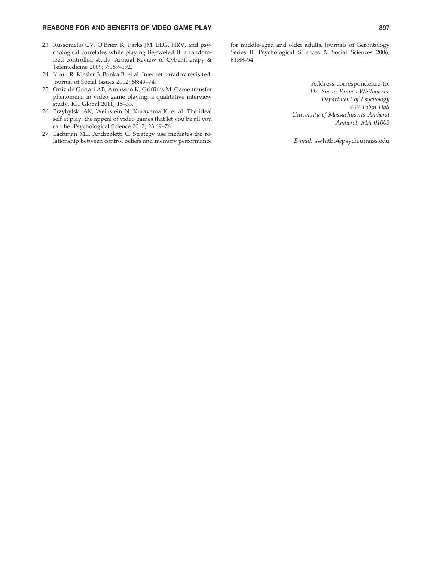- 23. Russoniello CV, O'Brien K, Parks JM. EEG, HRV, and psychological correlates while playing Bejeweled II: a randomized controlled study. Annual Review of CyberTherapy & Telemedicine 2009; 7:189–192.
- 24. Kraut R, Kiesler S, Bonka B, et al. Internet paradox revisited. Journal of Social Issues 2002; 58:49–74.
- 25. Ortiz de Gortari AB, Aronsson K, Griffiths M. Game transfer phenomena in video game playing: a qualitative interview study. IGI Global 2011; 15–33.
- 26. Przybylski AK, Weinstein N, Kurayama K, et al. The ideal self at play: the appeal of video games that let you be all you can be. Psychological Science 2012; 23:69–76.
- 27. Lachman ME, Andreoletti C. Strategy use mediates the relationship between control beliefs and memory performance

for middle-aged and older adults. Journals of Gerontology Series B: Psychological Sciences & Social Sciences 2006; 61:88–94.

> Address correspondence to: Dr. Susan Krauss Whitbourne Department of Psychology 409 Tobin Hall University of Massachusetts Amherst Amherst, MA 01003

E-mail: swhitbo@psych.umass.edu